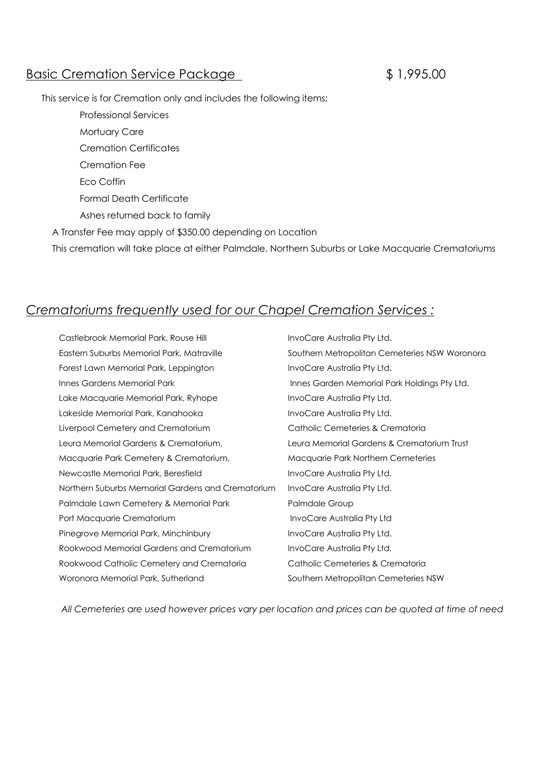## Basic Cremation Service Package  $$1,995.00$

This service is for Cremation only and includes the following items;

 Professional Services Mortuary Care Cremation Certificates Cremation Fee Eco Coffin Formal Death Certificate Ashes returned back to family A Transfer Fee may apply of \$350.00 depending on Location

This cremation will take place at either Palmdale, Northern Suburbs or Lake Macquarie Crematoriums

## *Crematoriums frequently used for our Chapel Cremation Services :*

Castlebrook Memorial Park, Rouse Hill **InvoCare Australia Pty Ltd.** Eastern Suburbs Memorial Park, Matraville Southern Metropolitan Cemeteries NSW Woronora Forest Lawn Memorial Park, Leppington InvoCare Australia Pty Ltd. Innes Gardens Memorial Park **Innes Garden Memorial Park Holdings Pty Ltd.** Lake Macquarie Memorial Park, Ryhope InvoCare Australia Pty Ltd. Lakeside Memorial Park, Kanahooka InvoCare Australia Pty Ltd. Liverpool Cemetery and Crematorium Catholic Cemeteries & Crematoria Leura Memorial Gardens & Crematorium, Leura Memorial Gardens & Crematorium Trust Macquarie Park Cemetery & Crematorium, Macquarie Park Northern Cemeteries Newcastle Memorial Park, Beresfield **InvoCare Australia Pty Ltd.** Northern Suburbs Memorial Gardens and Crematorium InvoCare Australia Pty Ltd. Palmdale Lawn Cemetery & Memorial Park Palmdale Group Port Macquarie Crematorium and a later the local process invoCare Australia Pty Ltd Pinegrove Memorial Park, Minchinbury **InvoCare Australia Pty Ltd.** Rookwood Memorial Gardens and Crematorium InvoCare Australia Pty Ltd. Rookwood Catholic Cemetery and Crematoria Catholic Cemeteries & Crematoria Woronora Memorial Park, Sutherland Southern Metropolitan Cemeteries NSW

*All Cemeteries are used however prices vary per location and prices can be quoted at time of need*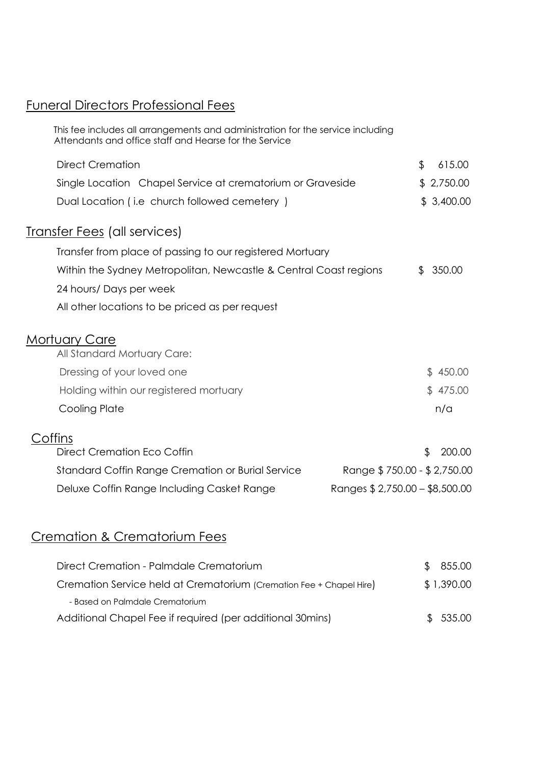# Funeral Directors Professional Fees

| This fee includes all arrangements and administration for the service including<br>Attendants and office staff and Hearse for the Service |                                |              |
|-------------------------------------------------------------------------------------------------------------------------------------------|--------------------------------|--------------|
| <b>Direct Cremation</b>                                                                                                                   |                                | \$<br>615.00 |
| Single Location Chapel Service at crematorium or Graveside                                                                                |                                | \$2,750.00   |
| Dual Location (i.e church followed cemetery)                                                                                              |                                | \$3,400.00   |
| <b>Transfer Fees</b> (all services)                                                                                                       |                                |              |
| Transfer from place of passing to our registered Mortuary                                                                                 |                                |              |
| Within the Sydney Metropolitan, Newcastle & Central Coast regions                                                                         |                                | 350.00<br>£. |
| 24 hours/ Days per week                                                                                                                   |                                |              |
| All other locations to be priced as per request                                                                                           |                                |              |
| <b>Mortuary Care</b>                                                                                                                      |                                |              |
| All Standard Mortuary Care:                                                                                                               |                                |              |
| Dressing of your loved one                                                                                                                |                                | \$450.00     |
| Holding within our registered mortuary                                                                                                    |                                | \$475.00     |
| Cooling Plate                                                                                                                             |                                | n/a          |
| Coffins                                                                                                                                   |                                |              |
| Direct Cremation Eco Coffin                                                                                                               |                                | \$<br>200.00 |
| Standard Coffin Range Cremation or Burial Service                                                                                         | Range \$750.00 - \$2,750.00    |              |
| Deluxe Coffin Range Including Casket Range                                                                                                | Ranges \$2,750.00 - \$8,500.00 |              |
|                                                                                                                                           |                                |              |

# Cremation & Crematorium Fees

| Direct Cremation - Palmdale Crematorium                             | \$855.00   |
|---------------------------------------------------------------------|------------|
| Cremation Service held at Crematorium (Cremation Fee + Chapel Hire) | \$1,390.00 |
| - Based on Palmdale Crematorium                                     |            |
| Additional Chapel Fee if required (per additional 30mins)           | \$535.00   |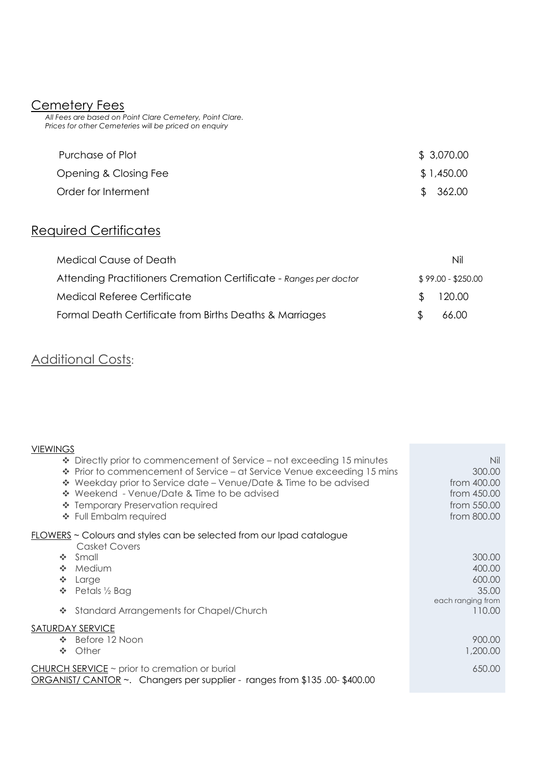### Cemetery Fees

 *All Fees are based on Point Clare Cemetery, Point Clare. Prices for other Cemeteries will be priced on enquiry*

| Purchase of Plot      | \$3,070.00 |
|-----------------------|------------|
| Opening & Closing Fee | \$1,450.00 |
| Order for Interment   | \$362.00   |

# Required Certificates

| <b>Medical Cause of Death</b>                                     | Nil                |
|-------------------------------------------------------------------|--------------------|
| Attending Practitioners Cremation Certificate - Ranges per doctor | $$99.00 - $250.00$ |
| Medical Referee Certificate                                       | \$120.00           |
| Formal Death Certificate from Births Deaths & Marriages           | 66.00              |

## **Additional Costs:**

| <b>VIEWINGS</b>                                                                                     |                   |
|-----------------------------------------------------------------------------------------------------|-------------------|
| $\div$ Directly prior to commencement of Service – not exceeding 15 minutes                         | Nil               |
| ❖ Prior to commencement of Service – at Service Venue exceeding 15 mins                             | 300.00            |
| ❖ Weekday prior to Service date – Venue/Date & Time to be advised                                   | from 400.00       |
| ❖ Weekend - Venue/Date & Time to be advised                                                         | from 450.00       |
| ❖ Temporary Preservation required                                                                   | from 550.00       |
| ❖ Full Embalm required                                                                              | from 800.00       |
| <b>FLOWERS</b> ~ Colours and styles can be selected from our Ipad catalogue<br><b>Casket Covers</b> |                   |
| Small<br>A.                                                                                         | 300.00            |
| Medium<br>A.                                                                                        | 400.00            |
| A.<br>Large                                                                                         | 600.00            |
| Petals 1/2 Bag<br>4                                                                                 | 35.00             |
|                                                                                                     | each ranging from |
| <b>Standard Arrangements for Chapel/Church</b><br><b>SALE</b>                                       | 110.00            |
| SATURDAY SERVICE                                                                                    |                   |
| Before 12 Noon<br>A.                                                                                | 900.00            |
| Other<br><b>SALE</b>                                                                                | 1,200.00          |
| $CHURCH$ SERVICE $\sim$ prior to cremation or burial                                                | 650.00            |
| ORGANIST/ CANTOR $\sim$ . Changers per supplier - ranges from \$135,00-\$400.00                     |                   |
|                                                                                                     |                   |